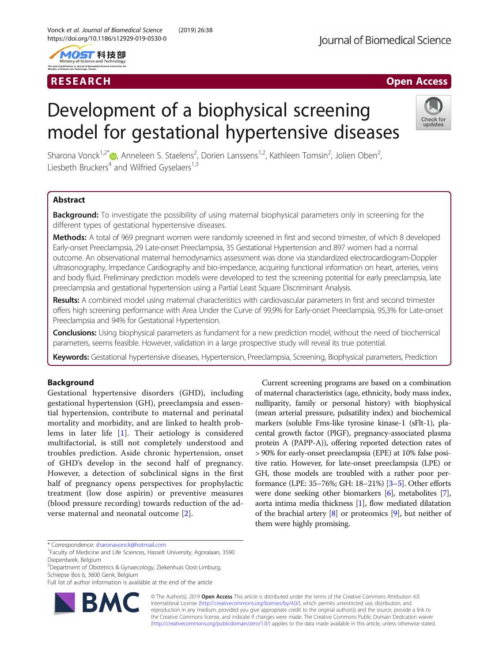



# RESEARCH **RESEARCH CHANNEL EXECUTE ACCESS**

# Development of a biophysical screening model for gestational hypertensive diseases



Sharona Vonck<sup>1[,](http://orcid.org/0000-0002-2522-4508)2\*</sup>®, Anneleen S. Staelens<sup>2</sup>, Dorien Lanssens<sup>1,2</sup>, Kathleen Tomsin<sup>2</sup>, Jolien Oben<sup>2</sup> , Liesbeth Bruckers<sup>4</sup> and Wilfried Gyselaers<sup>1,3</sup>

# Abstract

**Background:** To investigate the possibility of using maternal biophysical parameters only in screening for the different types of gestational hypertensive diseases.

Methods: A total of 969 pregnant women were randomly screened in first and second trimester, of which 8 developed Early-onset Preeclampsia, 29 Late-onset Preeclampsia, 35 Gestational Hypertension and 897 women had a normal outcome. An observational maternal hemodynamics assessment was done via standardized electrocardiogram-Doppler ultrasonography, Impedance Cardiography and bio-impedance, acquiring functional information on heart, arteries, veins and body fluid. Preliminary prediction models were developed to test the screening potential for early preeclampsia, late preeclampsia and gestational hypertension using a Partial Least Square Discriminant Analysis.

Results: A combined model using maternal characteristics with cardiovascular parameters in first and second trimester offers high screening performance with Area Under the Curve of 99,9% for Early-onset Preeclampsia, 95,3% for Late-onset Preeclampsia and 94% for Gestational Hypertension.

Conclusions: Using biophysical parameters as fundament for a new prediction model, without the need of biochemical parameters, seems feasible. However, validation in a large prospective study will reveal its true potential.

Keywords: Gestational hypertensive diseases, Hypertension, Preeclampsia, Screening, Biophysical parameters, Prediction

# Background

Gestational hypertensive disorders (GHD), including gestational hypertension (GH), preeclampsia and essential hypertension, contribute to maternal and perinatal mortality and morbidity, and are linked to health problems in later life [[1\]](#page-7-0). Their aetiology is considered multifactorial, is still not completely understood and troubles prediction. Aside chronic hypertension, onset of GHD's develop in the second half of pregnancy. However, a detection of subclinical signs in the first half of pregnancy opens perspectives for prophylactic treatment (low dose aspirin) or preventive measures (blood pressure recording) towards reduction of the adverse maternal and neonatal outcome [[2](#page-7-0)].

Current screening programs are based on a combination of maternal characteristics (age, ethnicity, body mass index, nulliparity, family or personal history) with biophysical (mean arterial pressure, pulsatility index) and biochemical markers (soluble Fms-like tyrosine kinase-1 (sFlt-1), placental growth factor (PlGF), pregnancy-associated plasma protein A (PAPP-A)), offering reported detection rates of > 90% for early-onset preeclampsia (EPE) at 10% false positive ratio. However, for late-onset preeclampsia (LPE) or GH, those models are troubled with a rather poor performance (LPE: 35–76%; GH: 18–21%) [\[3](#page-7-0)–[5\]](#page-7-0). Other efforts were done seeking other biomarkers [\[6\]](#page-7-0), metabolites [[7](#page-7-0)], aorta intima media thickness [[1\]](#page-7-0), flow mediated dilatation of the brachial artery [[8\]](#page-7-0) or proteomics [[9](#page-7-0)], but neither of them were highly promising.

2 Department of Obstetrics & Gynaecology, Ziekenhuis Oost-Limburg, Schiepse Bos 6, 3600 Genk, Belgium

Full list of author information is available at the end of the article



© The Author(s). 2019 Open Access This article is distributed under the terms of the Creative Commons Attribution 4.0 International License [\(http://creativecommons.org/licenses/by/4.0/](http://creativecommons.org/licenses/by/4.0/)), which permits unrestricted use, distribution, and reproduction in any medium, provided you give appropriate credit to the original author(s) and the source, provide a link to the Creative Commons license, and indicate if changes were made. The Creative Commons Public Domain Dedication waiver [\(http://creativecommons.org/publicdomain/zero/1.0/](http://creativecommons.org/publicdomain/zero/1.0/)) applies to the data made available in this article, unless otherwise stated.

<sup>\*</sup> Correspondence: [sharonavonck@hotmail.com](mailto:sharonavonck@hotmail.com) <sup>1</sup>

<sup>&</sup>lt;sup>1</sup> Faculty of Medicine and Life Sciences, Hasselt University, Agoralaan, 3590 Diepenbeek, Belgium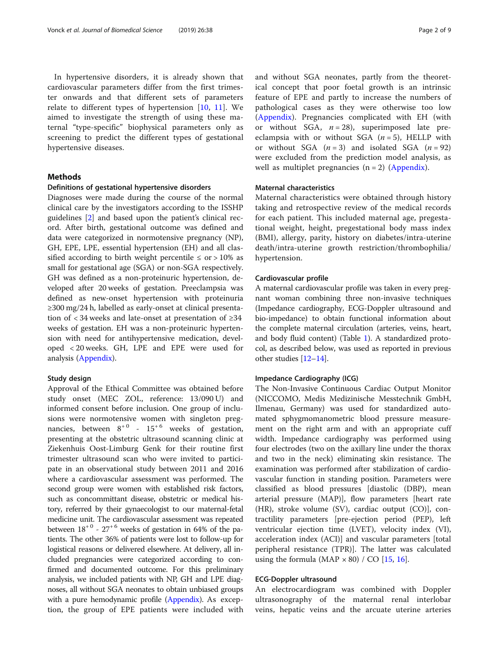In hypertensive disorders, it is already shown that cardiovascular parameters differ from the first trimester onwards and that different sets of parameters relate to different types of hypertension [[10,](#page-7-0) [11\]](#page-7-0). We aimed to investigate the strength of using these maternal "type-specific" biophysical parameters only as screening to predict the different types of gestational hypertensive diseases.

# Methods

# Definitions of gestational hypertensive disorders

Diagnoses were made during the course of the normal clinical care by the investigators according to the ISSHP guidelines [[2\]](#page-7-0) and based upon the patient's clinical record. After birth, gestational outcome was defined and data were categorized in normotensive pregnancy (NP), GH, EPE, LPE, essential hypertension (EH) and all classified according to birth weight percentile  $\leq$  or  $>$  10% as small for gestational age (SGA) or non-SGA respectively. GH was defined as a non-proteinuric hypertension, developed after 20 weeks of gestation. Preeclampsia was defined as new-onset hypertension with proteinuria ≥300 mg/24 h, labelled as early-onset at clinical presentation of < 34 weeks and late-onset at presentation of ≥34 weeks of gestation. EH was a non-proteinuric hypertension with need for antihypertensive medication, developed < 20 weeks. GH, LPE and EPE were used for analysis (Appendix).

# Study design

Approval of the Ethical Committee was obtained before study onset (MEC ZOL, reference: 13/090 U) and informed consent before inclusion. One group of inclusions were normotensive women with singleton pregnancies, between  $8^{+0}$  -  $15^{+6}$  weeks of gestation, presenting at the obstetric ultrasound scanning clinic at Ziekenhuis Oost-Limburg Genk for their routine first trimester ultrasound scan who were invited to participate in an observational study between 2011 and 2016 where a cardiovascular assessment was performed. The second group were women with established risk factors, such as concommittant disease, obstetric or medical history, referred by their gynaecologist to our maternal-fetal medicine unit. The cardiovascular assessment was repeated between  $18^{+0}$  -  $27^{+6}$  weeks of gestation in 64% of the patients. The other 36% of patients were lost to follow-up for logistical reasons or delivered elsewhere. At delivery, all included pregnancies were categorized according to confirmed and documented outcome. For this preliminary analysis, we included patients with NP, GH and LPE diagnoses, all without SGA neonates to obtain unbiased groups with a pure hemodynamic profile (Appendix). As exception, the group of EPE patients were included with and without SGA neonates, partly from the theoretical concept that poor foetal growth is an intrinsic feature of EPE and partly to increase the numbers of pathological cases as they were otherwise too low (Appendix). Pregnancies complicated with EH (with or without SGA,  $n = 28$ ), superimposed late preeclampsia with or without SGA  $(n=5)$ , HELLP with or without SGA  $(n=3)$  and isolated SGA  $(n=92)$ were excluded from the prediction model analysis, as well as multiplet pregnancies  $(n = 2)$  (Appendix).

# Maternal characteristics

Maternal characteristics were obtained through history taking and retrospective review of the medical records for each patient. This included maternal age, pregestational weight, height, pregestational body mass index (BMI), allergy, parity, history on diabetes/intra-uterine death/intra-uterine growth restriction/thrombophilia/ hypertension.

# Cardiovascular profile

A maternal cardiovascular profile was taken in every pregnant woman combining three non-invasive techniques (Impedance cardiography, ECG-Doppler ultrasound and bio-impedance) to obtain functional information about the complete maternal circulation (arteries, veins, heart, and body fluid content) (Table [1](#page-2-0)). A standardized protocol, as described below, was used as reported in previous other studies [[12](#page-7-0)–[14](#page-7-0)].

# Impedance Cardiography (ICG)

The Non-Invasive Continuous Cardiac Output Monitor (NICCOMO, Medis Medizinische Messtechnik GmbH, Ilmenau, Germany) was used for standardized automated sphygmomanometric blood pressure measurement on the right arm and with an appropriate cuff width. Impedance cardiography was performed using four electrodes (two on the axillary line under the thorax and two in the neck) eliminating skin resistance. The examination was performed after stabilization of cardiovascular function in standing position. Parameters were classified as blood pressures [diastolic (DBP), mean arterial pressure (MAP)], flow parameters [heart rate (HR), stroke volume (SV), cardiac output (CO)], contractility parameters [pre-ejection period (PEP), left ventricular ejection time (LVET), velocity index (VI), acceleration index (ACI)] and vascular parameters [total peripheral resistance (TPR)]. The latter was calculated using the formula (MAP  $\times$  80) / CO [[15,](#page-7-0) [16](#page-7-0)].

# ECG-Doppler ultrasound

An electrocardiogram was combined with Doppler ultrasonography of the maternal renal interlobar veins, hepatic veins and the arcuate uterine arteries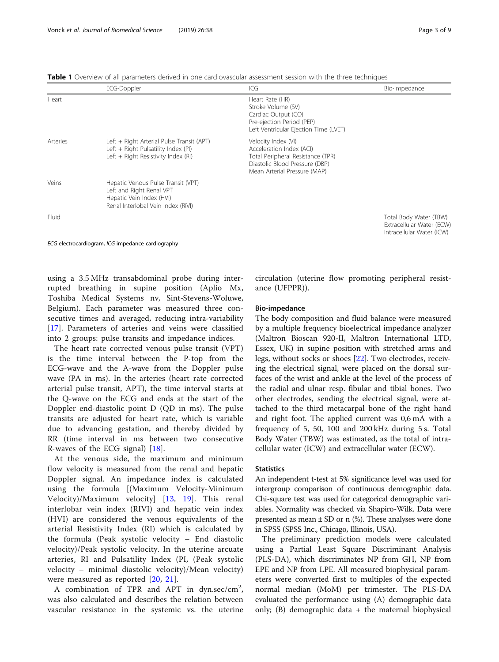<span id="page-2-0"></span>

| <b>Table 1</b> Overview of all parameters derived in one cardiovascular assessment session with the three techniques |  |
|----------------------------------------------------------------------------------------------------------------------|--|
|----------------------------------------------------------------------------------------------------------------------|--|

|          | ECG-Doppler                                                                                                                      | ICG                                                                                                                                                    | Bio-impedance                                                                    |
|----------|----------------------------------------------------------------------------------------------------------------------------------|--------------------------------------------------------------------------------------------------------------------------------------------------------|----------------------------------------------------------------------------------|
| Heart    |                                                                                                                                  | Heart Rate (HR)<br>Stroke Volume (SV)<br>Cardiac Output (CO)<br>Pre-ejection Period (PEP)<br>Left Ventricular Ejection Time (LVET)                     |                                                                                  |
| Arteries | Left + Right Arterial Pulse Transit (APT)<br>Left + Right Pulsatility Index (PI)<br>Left + Right Resistivity Index (RI)          | Velocity Index (VI)<br>Acceleration Index (ACI)<br>Total Peripheral Resistance (TPR)<br>Diastolic Blood Pressure (DBP)<br>Mean Arterial Pressure (MAP) |                                                                                  |
| Veins    | Hepatic Venous Pulse Transit (VPT)<br>Left and Right Renal VPT<br>Hepatic Vein Index (HVI)<br>Renal Interlobal Vein Index (RIVI) |                                                                                                                                                        |                                                                                  |
| Fluid    |                                                                                                                                  |                                                                                                                                                        | Total Body Water (TBW)<br>Extracellular Water (ECW)<br>Intracellular Water (ICW) |

ECG electrocardiogram, ICG impedance cardiography

using a 3.5 MHz transabdominal probe during interrupted breathing in supine position (Aplio Mx, Toshiba Medical Systems nv, Sint-Stevens-Woluwe, Belgium). Each parameter was measured three consecutive times and averaged, reducing intra-variability [[17\]](#page-7-0). Parameters of arteries and veins were classified into 2 groups: pulse transits and impedance indices.

The heart rate corrected venous pulse transit (VPT) is the time interval between the P-top from the ECG-wave and the A-wave from the Doppler pulse wave (PA in ms). In the arteries (heart rate corrected arterial pulse transit, APT), the time interval starts at the Q-wave on the ECG and ends at the start of the Doppler end-diastolic point D (QD in ms). The pulse transits are adjusted for heart rate, which is variable due to advancing gestation, and thereby divided by RR (time interval in ms between two consecutive R-waves of the ECG signal) [[18\]](#page-7-0).

At the venous side, the maximum and minimum flow velocity is measured from the renal and hepatic Doppler signal. An impedance index is calculated using the formula [(Maximum Velocity-Minimum Velocity)/Maximum velocity] [[13,](#page-7-0) [19\]](#page-7-0). This renal interlobar vein index (RIVI) and hepatic vein index (HVI) are considered the venous equivalents of the arterial Resistivity Index (RI) which is calculated by the formula (Peak systolic velocity – End diastolic velocity)/Peak systolic velocity. In the uterine arcuate arteries, RI and Pulsatility Index (PI, (Peak systolic velocity – minimal diastolic velocity)/Mean velocity) were measured as reported [[20](#page-7-0), [21\]](#page-7-0).

A combination of TPR and APT in dyn.sec/cm<sup>2</sup>, was also calculated and describes the relation between vascular resistance in the systemic vs. the uterine

circulation (uterine flow promoting peripheral resistance (UFPPR)).

# Bio-impedance

The body composition and fluid balance were measured by a multiple frequency bioelectrical impedance analyzer (Maltron Bioscan 920-II, Maltron International LTD, Essex, UK) in supine position with stretched arms and legs, without socks or shoes [\[22\]](#page-7-0). Two electrodes, receiving the electrical signal, were placed on the dorsal surfaces of the wrist and ankle at the level of the process of the radial and ulnar resp. fibular and tibial bones. Two other electrodes, sending the electrical signal, were attached to the third metacarpal bone of the right hand and right foot. The applied current was 0,6 mA with a frequency of 5, 50, 100 and 200 kHz during 5 s. Total Body Water (TBW) was estimated, as the total of intracellular water (ICW) and extracellular water (ECW).

# **Statistics**

An independent t-test at 5% significance level was used for intergroup comparison of continuous demographic data. Chi-square test was used for categorical demographic variables. Normality was checked via Shapiro-Wilk. Data were presented as mean  $\pm$  SD or n (%). These analyses were done in SPSS (SPSS Inc., Chicago, Illinois, USA).

The preliminary prediction models were calculated using a Partial Least Square Discriminant Analysis (PLS-DA), which discriminates NP from GH, NP from EPE and NP from LPE. All measured biophysical parameters were converted first to multiples of the expected normal median (MoM) per trimester. The PLS-DA evaluated the performance using (A) demographic data only;  $(B)$  demographic data  $+$  the maternal biophysical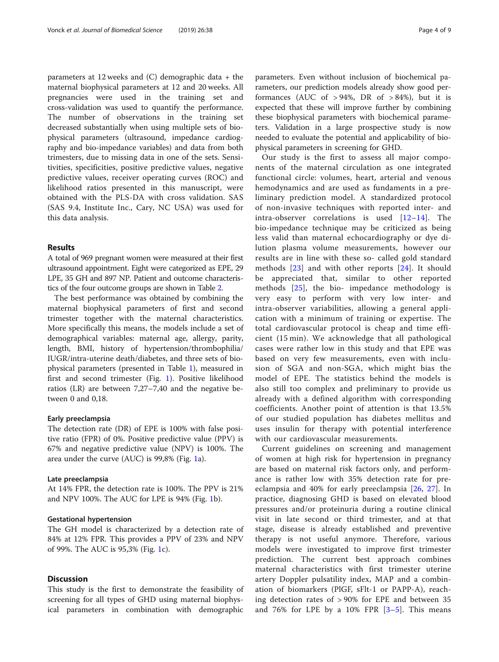parameters at 12 weeks and (C) demographic data + the maternal biophysical parameters at 12 and 20 weeks. All pregnancies were used in the training set and cross-validation was used to quantify the performance. The number of observations in the training set decreased substantially when using multiple sets of biophysical parameters (ultrasound, impedance cardiography and bio-impedance variables) and data from both trimesters, due to missing data in one of the sets. Sensitivities, specificities, positive predictive values, negative predictive values, receiver operating curves (ROC) and likelihood ratios presented in this manuscript, were obtained with the PLS-DA with cross validation. SAS (SAS 9.4, Institute Inc., Cary, NC USA) was used for this data analysis.

# Results

A total of 969 pregnant women were measured at their first ultrasound appointment. Eight were categorized as EPE, 29 LPE, 35 GH and 897 NP. Patient and outcome characteristics of the four outcome groups are shown in Table [2](#page-4-0).

The best performance was obtained by combining the maternal biophysical parameters of first and second trimester together with the maternal characteristics. More specifically this means, the models include a set of demographical variables: maternal age, allergy, parity, length, BMI, history of hypertension/thrombophilia/ IUGR/intra-uterine death/diabetes, and three sets of biophysical parameters (presented in Table [1\)](#page-2-0), measured in first and second trimester (Fig. [1\)](#page-4-0). Positive likelihood ratios (LR) are between 7,27–7,40 and the negative between 0 and 0,18.

# Early preeclampsia

The detection rate (DR) of EPE is 100% with false positive ratio (FPR) of 0%. Positive predictive value (PPV) is 67% and negative predictive value (NPV) is 100%. The area under the curve (AUC) is 99,8% (Fig. [1](#page-4-0)a).

# Late preeclampsia

At 14% FPR, the detection rate is 100%. The PPV is 21% and NPV 100%. The AUC for LPE is 94% (Fig. [1](#page-4-0)b).

# Gestational hypertension

The GH model is characterized by a detection rate of 84% at 12% FPR. This provides a PPV of 23% and NPV of 99%. The AUC is 95,3% (Fig. [1](#page-4-0)c).

# **Discussion**

This study is the first to demonstrate the feasibility of screening for all types of GHD using maternal biophysical parameters in combination with demographic

parameters. Even without inclusion of biochemical parameters, our prediction models already show good performances (AUC of  $> 94\%$ , DR of  $> 84\%$ ), but it is expected that these will improve further by combining these biophysical parameters with biochemical parameters. Validation in a large prospective study is now needed to evaluate the potential and applicability of biophysical parameters in screening for GHD.

Our study is the first to assess all major components of the maternal circulation as one integrated functional circle: volumes, heart, arterial and venous hemodynamics and are used as fundaments in a preliminary prediction model. A standardized protocol of non-invasive techniques with reported inter- and intra-observer correlations is used  $[12-14]$  $[12-14]$  $[12-14]$  $[12-14]$  $[12-14]$ . The bio-impedance technique may be criticized as being less valid than maternal echocardiography or dye dilution plasma volume measurements, however our results are in line with these so- called gold standard methods [\[23\]](#page-7-0) and with other reports [[24](#page-7-0)]. It should be appreciated that, similar to other reported methods [\[25](#page-7-0)], the bio- impedance methodology is very easy to perform with very low inter- and intra-observer variabilities, allowing a general application with a minimum of training or expertise. The total cardiovascular protocol is cheap and time efficient (15 min). We acknowledge that all pathological cases were rather low in this study and that EPE was based on very few measurements, even with inclusion of SGA and non-SGA, which might bias the model of EPE. The statistics behind the models is also still too complex and preliminary to provide us already with a defined algorithm with corresponding coefficients. Another point of attention is that 13.5% of our studied population has diabetes mellitus and uses insulin for therapy with potential interference with our cardiovascular measurements.

Current guidelines on screening and management of women at high risk for hypertension in pregnancy are based on maternal risk factors only, and performance is rather low with 35% detection rate for preeclampsia and 40% for early preeclampsia [\[26](#page-7-0), [27\]](#page-7-0). In practice, diagnosing GHD is based on elevated blood pressures and/or proteinuria during a routine clinical visit in late second or third trimester, and at that stage, disease is already established and preventive therapy is not useful anymore. Therefore, various models were investigated to improve first trimester prediction. The current best approach combines maternal characteristics with first trimester uterine artery Doppler pulsatility index, MAP and a combination of biomarkers (PlGF, sFlt-1 or PAPP-A), reaching detection rates of > 90% for EPE and between 35 and 76% for LPE by a  $10\%$  FPR  $[3-5]$  $[3-5]$  $[3-5]$  $[3-5]$ . This means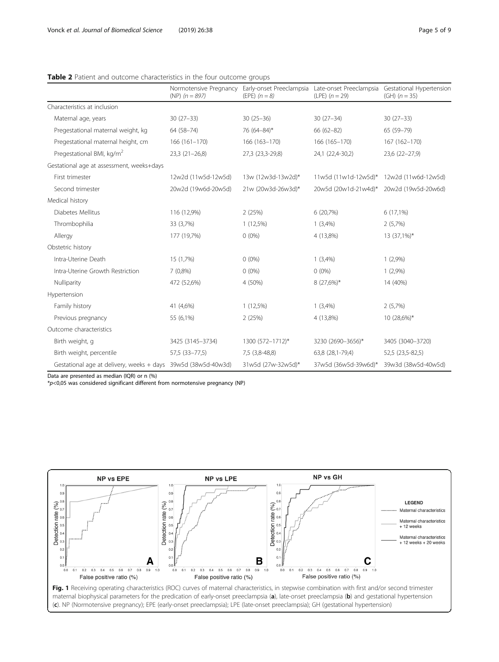# <span id="page-4-0"></span>Table 2 Patient and outcome characteristics in the four outcome groups

|                                                               | Normotensive Pregnancy<br>(NP) $(n = 897)$ | Early-onset Preeclampsia<br>(EPE) $(n = 8)$ | (LPE) $(n = 29)$     | Late-onset Preeclampsia Gestational Hypertension<br>(GH) $(n = 35)$ |
|---------------------------------------------------------------|--------------------------------------------|---------------------------------------------|----------------------|---------------------------------------------------------------------|
| Characteristics at inclusion                                  |                                            |                                             |                      |                                                                     |
| Maternal age, years                                           | $30(27-33)$                                | $30(25-36)$                                 | $30(27-34)$          | $30(27-33)$                                                         |
| Pregestational maternal weight, kg                            | 64 (58-74)                                 | 76 (64-84)*                                 | $66(62 - 82)$        | 65 (59-79)                                                          |
| Pregestational maternal height, cm                            | $166(161-170)$                             | 166 (163-170)                               | 166 (165-170)        | 167 (162-170)                                                       |
| Pregestational BMI, kg/m <sup>2</sup>                         | $23,3(21-26,8)$                            | 27,3 (23,3-29,8)                            | 24,1 (22,4-30,2)     | 23,6 (22-27,9)                                                      |
| Gestational age at assessment, weeks+days                     |                                            |                                             |                      |                                                                     |
| First trimester                                               | 12w2d (11w5d-12w5d)                        | 13w (12w3d-13w2d)*                          | 11w5d (11w1d-12w5d)* | 12w2d (11w6d-12w5d)                                                 |
| Second trimester                                              | 20w2d (19w6d-20w5d)                        | 21w (20w3d-26w3d)*                          | 20w5d (20w1d-21w4d)* | 20w2d (19w5d-20w6d)                                                 |
| Medical history                                               |                                            |                                             |                      |                                                                     |
| Diabetes Mellitus                                             | 116 (12,9%)                                | 2(25%)                                      | 6(20,7%)             | $6(17,1\%)$                                                         |
| Thrombophilia                                                 | 33 (3,7%)                                  | $1(12,5\%)$                                 | 1(3,4%)              | 2(5,7%)                                                             |
| Allergy                                                       | 177 (19,7%)                                | $0(0\%)$                                    | 4 (13,8%)            | 13 (37,1%)*                                                         |
| Obstetric history                                             |                                            |                                             |                      |                                                                     |
| Intra-Uterine Death                                           | 15 (1,7%)                                  | $0(0\%)$                                    | 1(3,4%)              | 1(2,9%)                                                             |
| Intra-Uterine Growth Restriction                              | $7(0,8\%)$                                 | $0(0\%)$                                    | $0(0\%)$             | 1(2,9%)                                                             |
| Nulliparity                                                   | 472 (52,6%)                                | 4 (50%)                                     | $8(27,6\%)*$         | 14 (40%)                                                            |
| Hypertension                                                  |                                            |                                             |                      |                                                                     |
| Family history                                                | 41 (4,6%)                                  | $1(12,5\%)$                                 | 1(3,4%)              | 2(5,7%)                                                             |
| Previous pregnancy                                            | 55 (6,1%)                                  | 2(25%)                                      | 4 (13,8%)            | 10 (28,6%)*                                                         |
| Outcome characteristics                                       |                                            |                                             |                      |                                                                     |
| Birth weight, g                                               | 3425 (3145-3734)                           | 1300 (572-1712)*                            | 3230 (2690-3656)*    | 3405 (3040-3720)                                                    |
| Birth weight, percentile                                      | 57,5 (33-77,5)                             | 7,5 (3,8-48,8)                              | 63,8 (28,1-79,4)     | 52,5 (23,5-82,5)                                                    |
| Gestational age at delivery, weeks + days 39w5d (38w5d-40w3d) |                                            | 31w5d (27w-32w5d)*                          | 37w5d (36w5d-39w6d)* | 39w3d (38w5d-40w5d)                                                 |

Data are presented as median (IQR) or n (%)

 $*p<0.05$  was considered significant different from normotensive pregnancy (NP)



maternal biophysical parameters for the predication of early-onset preeclampsia (a), late-onset preeclampsia (b) and gestational hypertension (c). NP (Normotensive pregnancy); EPE (early-onset preeclampsia); LPE (late-onset preeclampsia); GH (gestational hypertension)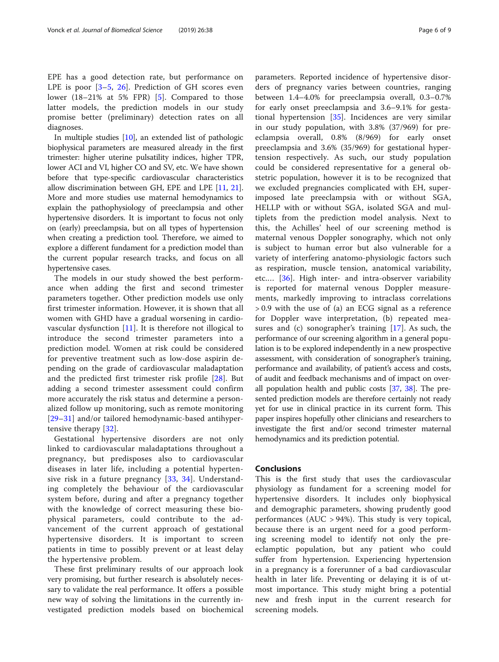EPE has a good detection rate, but performance on LPE is poor  $[3-5, 26]$  $[3-5, 26]$  $[3-5, 26]$  $[3-5, 26]$  $[3-5, 26]$  $[3-5, 26]$  $[3-5, 26]$ . Prediction of GH scores even lower (18–21% at 5% FPR) [\[5](#page-7-0)]. Compared to those latter models, the prediction models in our study promise better (preliminary) detection rates on all diagnoses.

In multiple studies [[10\]](#page-7-0), an extended list of pathologic biophysical parameters are measured already in the first trimester: higher uterine pulsatility indices, higher TPR, lower ACI and VI, higher CO and SV, etc. We have shown before that type-specific cardiovascular characteristics allow discrimination between GH, EPE and LPE [\[11](#page-7-0), [21](#page-7-0)]. More and more studies use maternal hemodynamics to explain the pathophysiology of preeclampsia and other hypertensive disorders. It is important to focus not only on (early) preeclampsia, but on all types of hypertension when creating a prediction tool. Therefore, we aimed to explore a different fundament for a prediction model than the current popular research tracks, and focus on all hypertensive cases.

The models in our study showed the best performance when adding the first and second trimester parameters together. Other prediction models use only first trimester information. However, it is shown that all women with GHD have a gradual worsening in cardiovascular dysfunction [\[11](#page-7-0)]. It is therefore not illogical to introduce the second trimester parameters into a prediction model. Women at risk could be considered for preventive treatment such as low-dose aspirin depending on the grade of cardiovascular maladaptation and the predicted first trimester risk profile [[28](#page-7-0)]. But adding a second trimester assessment could confirm more accurately the risk status and determine a personalized follow up monitoring, such as remote monitoring [[29](#page-7-0)–[31\]](#page-7-0) and/or tailored hemodynamic-based antihypertensive therapy [[32\]](#page-7-0).

Gestational hypertensive disorders are not only linked to cardiovascular maladaptations throughout a pregnancy, but predisposes also to cardiovascular diseases in later life, including a potential hypertensive risk in a future pregnancy [[33](#page-7-0), [34](#page-7-0)]. Understanding completely the behaviour of the cardiovascular system before, during and after a pregnancy together with the knowledge of correct measuring these biophysical parameters, could contribute to the advancement of the current approach of gestational hypertensive disorders. It is important to screen patients in time to possibly prevent or at least delay the hypertensive problem.

These first preliminary results of our approach look very promising, but further research is absolutely necessary to validate the real performance. It offers a possible new way of solving the limitations in the currently investigated prediction models based on biochemical parameters. Reported incidence of hypertensive disorders of pregnancy varies between countries, ranging between 1.4–4.0% for preeclampsia overall, 0.3–0.7% for early onset preeclampsia and 3.6–9.1% for gestational hypertension [\[35](#page-8-0)]. Incidences are very similar in our study population, with 3.8% (37/969) for preeclampsia overall, 0.8% (8/969) for early onset preeclampsia and 3.6% (35/969) for gestational hypertension respectively. As such, our study population could be considered representative for a general obstetric population, however it is to be recognized that we excluded pregnancies complicated with EH, superimposed late preeclampsia with or without SGA, HELLP with or without SGA, isolated SGA and multiplets from the prediction model analysis. Next to this, the Achilles' heel of our screening method is maternal venous Doppler sonography, which not only is subject to human error but also vulnerable for a variety of interfering anatomo-physiologic factors such as respiration, muscle tension, anatomical variability, etc.… [\[36](#page-8-0)]. High inter- and intra-observer variability is reported for maternal venous Doppler measurements, markedly improving to intraclass correlations > 0.9 with the use of (a) an ECG signal as a reference for Doppler wave interpretation, (b) repeated measures and (c) sonographer's training [\[17](#page-7-0)]. As such, the performance of our screening algorithm in a general population is to be explored independently in a new prospective assessment, with consideration of sonographer's training, performance and availability, of patient's access and costs, of audit and feedback mechanisms and of impact on overall population health and public costs [[37](#page-8-0), [38](#page-8-0)]. The presented prediction models are therefore certainly not ready yet for use in clinical practice in its current form. This paper inspires hopefully other clinicians and researchers to investigate the first and/or second trimester maternal hemodynamics and its prediction potential.

# Conclusions

This is the first study that uses the cardiovascular physiology as fundament for a screening model for hypertensive disorders. It includes only biophysical and demographic parameters, showing prudently good performances (AUC > 94%). This study is very topical, because there is an urgent need for a good performing screening model to identify not only the preeclamptic population, but any patient who could suffer from hypertension. Experiencing hypertension in a pregnancy is a forerunner of a bad cardiovascular health in later life. Preventing or delaying it is of utmost importance. This study might bring a potential new and fresh input in the current research for screening models.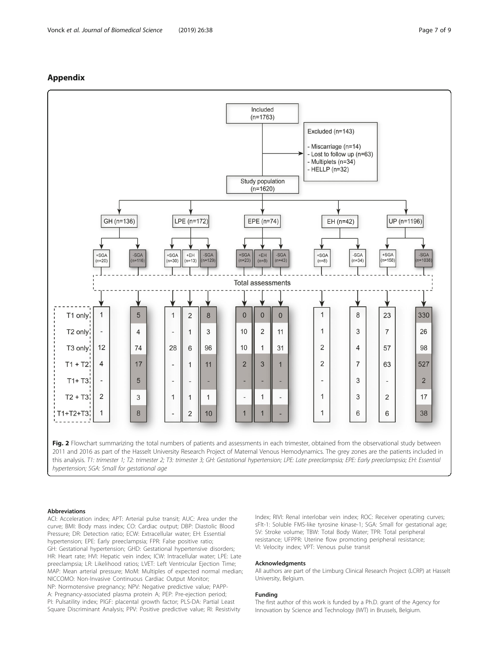# Appendix



#### Abbreviations

ACI: Acceleration index; APT: Arterial pulse transit; AUC: Area under the curve; BMI: Body mass index; CO: Cardiac output; DBP: Diastolic Blood Pressure; DR: Detection ratio; ECW: Extracellular water; EH: Essential hypertension; EPE: Early preeclampsia; FPR: False positive ratio; GH: Gestational hypertension; GHD: Gestational hypertensive disorders; HR: Heart rate; HVI: Hepatic vein index; ICW: Intracellular water; LPE: Late preeclampsia; LR: Likelihood ratios; LVET: Left Ventricular Ejection Time; MAP: Mean arterial pressure; MoM: Multiples of expected normal median; NICCOMO: Non-Invasive Continuous Cardiac Output Monitor; NP: Normotensive pregnancy; NPV: Negative predictive value; PAPP-A: Pregnancy-associated plasma protein A; PEP: Pre-ejection period; PI: Pulsatility index; PlGF: placental growth factor; PLS-DA: Partial Least Square Discriminant Analysis; PPV: Positive predictive value; RI: Resistivity

Index; RIVI: Renal interlobar vein index; ROC: Receiver operating curves; sFlt-1: Soluble FMS-like tyrosine kinase-1; SGA: Small for gestational age; SV: Stroke volume; TBW: Total Body Water; TPR: Total peripheral resistance; UFPPR: Uterine flow promoting peripheral resistance; VI: Velocity index; VPT: Venous pulse transit

### Acknowledgments

All authors are part of the Limburg Clinical Research Project (LCRP) at Hasselt University, Belgium.

#### Funding

The first author of this work is funded by a Ph.D. grant of the Agency for Innovation by Science and Technology (IWT) in Brussels, Belgium.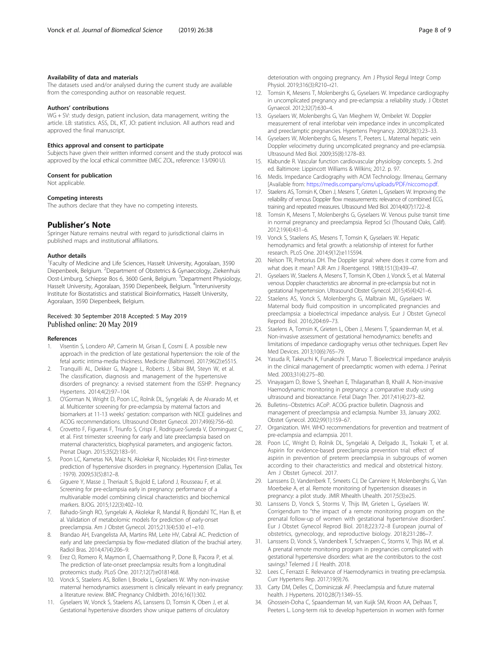# <span id="page-7-0"></span>Availability of data and materials

The datasets used and/or analysed during the current study are available from the corresponding author on reasonable request.

### Authors' contributions

WG + SV: study design, patient inclusion, data management, writing the article. LB: statistics. ASS, DL, KT, JO: patient inclusion. All authors read and approved the final manuscript.

# Ethics approval and consent to participate

Subjects have given their written informed consent and the study protocol was approved by the local ethical committee (MEC ZOL, reference: 13/090 U).

#### Consent for publication

Not applicable.

# Competing interests

The authors declare that they have no competing interests.

# Publisher's Note

Springer Nature remains neutral with regard to jurisdictional claims in published maps and institutional affiliations.

#### Author details

<sup>1</sup> Faculty of Medicine and Life Sciences, Hasselt University, Agoralaan, 3590 Diepenbeek, Belgium. <sup>2</sup>Department of Obstetrics & Gynaecology, Ziekenhuis Oost-Limburg, Schiepse Bos 6, 3600 Genk, Belgium. <sup>3</sup> Department Physiology, Hasselt University, Agoralaan, 3590 Diepenbeek, Belgium. <sup>4</sup>Interuniversity Institute for Biostatistics and statistical Bioinformatics, Hasselt University, Agoralaan, 3590 Diepenbeek, Belgium.

# Received: 30 September 2018 Accepted: 5 May 2019 Published online: 20 May 2019

#### References

- 1. Visentin S, Londero AP, Camerin M, Grisan E, Cosmi E. A possible new approach in the prediction of late gestational hypertension: the role of the fetal aortic intima-media thickness. Medicine (Baltimore). 2017;96(2):e5515.
- 2. Tranquilli AL, Dekker G, Magee L, Roberts J, Sibai BM, Steyn W, et al. The classification, diagnosis and management of the hypertensive disorders of pregnancy: a revised statement from the ISSHP. Pregnancy Hypertens. 2014;4(2):97–104.
- 3. O'Gorman N, Wright D, Poon LC, Rolnik DL, Syngelaki A, de Alvarado M, et al. Multicenter screening for pre-eclampsia by maternal factors and biomarkers at 11-13 weeks' gestation: comparison with NICE guidelines and ACOG recommendations. Ultrasound Obstet Gynecol. 2017;49(6):756–60.
- 4. Crovetto F, Figueras F, Triunfo S, Crispi F, Rodriguez-Sureda V, Dominguez C, et al. First trimester screening for early and late preeclampsia based on maternal characteristics, biophysical parameters, and angiogenic factors. Prenat Diagn. 2015;35(2):183–91.
- 5. Poon LC, Kametas NA, Maiz N, Akolekar R, Nicolaides KH. First-trimester prediction of hypertensive disorders in pregnancy. Hypertension (Dallas, Tex : 1979). 2009;53(5):812–8.
- 6. Giguere Y, Masse J, Theriault S, Bujold E, Lafond J, Rousseau F, et al. Screening for pre-eclampsia early in pregnancy: performance of a multivariable model combining clinical characteristics and biochemical markers. BJOG. 2015;122(3):402–10.
- 7. Bahado-Singh RO, Syngelaki A, Akolekar R, Mandal R, Bjondahl TC, Han B, et al. Validation of metabolomic models for prediction of early-onset preeclampsia. Am J Obstet Gynecol. 2015;213(4):530 e1–e10.
- 8. Brandao AH, Evangelista AA, Martins RM, Leite HV, Cabral AC. Prediction of early and late preeclampsia by flow-mediated dilation of the brachial artery. Radiol Bras. 2014;47(4):206–9.
- 9. Erez O, Romero R, Maymon E, Chaemsaithong P, Done B, Pacora P, et al. The prediction of late-onset preeclampsia: results from a longitudinal proteomics study. PLoS One. 2017;12(7):e0181468.
- 10. Vonck S, Staelens AS, Bollen I, Broekx L, Gyselaers W. Why non-invasive maternal hemodynamics assessment is clinically relevant in early pregnancy: a literature review. BMC Pregnancy Childbirth. 2016;16(1):302.
- 11. Gyselaers W, Vonck S, Staelens AS, Lanssens D, Tomsin K, Oben J, et al. Gestational hypertensive disorders show unique patterns of circulatory

deterioration with ongoing pregnancy. Am J Physiol Regul Integr Comp Physiol. 2019;316(3):R210–r21.

- 12. Tomsin K, Mesens T, Molenberghs G, Gyselaers W. Impedance cardiography in uncomplicated pregnancy and pre-eclampsia: a reliability study. J Obstet Gynaecol. 2012;32(7):630–4.
- 13. Gyselaers W, Molenberghs G, Van Mieghem W, Ombelet W. Doppler measurement of renal interlobar vein impedance index in uncomplicated and preeclamptic pregnancies. Hypertens Pregnancy. 2009;28(1):23–33.
- 14. Gyselaers W, Molenberghs G, Mesens T, Peeters L. Maternal hepatic vein Doppler velocimetry during uncomplicated pregnancy and pre-eclampsia. Ultrasound Med Biol. 2009;35(8):1278–83.
- 15. Klabunde R. Vascular function cardiovascular physiology concepts. 5. 2nd ed. Baltimore: Lippincott Williams & Wilkins; 2012. p. 97.
- 16. Medis. Impedance Cardiography with ACM Technology. Ilmenau, Germany [Available from: <https://medis.company/cms/uploads/PDF/niccomo.pdf>.
- 17. Staelens AS, Tomsin K, Oben J, Mesens T, Grieten L, Gyselaers W. Improving the reliability of venous Doppler flow measurements: relevance of combined ECG, training and repeated measures. Ultrasound Med Biol. 2014;40(7):1722–8.
- 18. Tomsin K, Mesens T, Molenberghs G, Gyselaers W. Venous pulse transit time in normal pregnancy and preeclampsia. Reprod Sci (Thousand Oaks, Calif). 2012;19(4):431–6.
- 19. Vonck S, Staelens AS, Mesens T, Tomsin K, Gyselaers W. Hepatic hemodynamics and fetal growth: a relationship of interest for further research. PLoS One. 2014;9(12):e115594.
- 20. Nelson TR, Pretorius DH. The Doppler signal: where does it come from and what does it mean? AJR Am J Roentgenol. 1988;151(3):439–47.
- 21. Gyselaers W, Staelens A, Mesens T, Tomsin K, Oben J, Vonck S, et al. Maternal venous Doppler characteristics are abnormal in pre-eclampsia but not in gestational hypertension. Ultrasound Obstet Gynecol. 2015;45(4):421–6.
- 22. Staelens AS, Vonck S, Molenberghs G, Malbrain ML, Gyselaers W. Maternal body fluid composition in uncomplicated pregnancies and preeclampsia: a bioelectrical impedance analysis. Eur J Obstet Gynecol Reprod Biol. 2016;204:69–73.
- 23. Staelens A, Tomsin K, Grieten L, Oben J, Mesens T, Spaanderman M, et al. Non-invasive assessment of gestational hemodynamics: benefits and limitations of impedance cardiography versus other techniques. Expert Rev Med Devices. 2013;10(6):765–79.
- 24. Yasuda R, Takeuchi K, Funakoshi T, Maruo T. Bioelectrical impedance analysis in the clinical management of preeclamptic women with edema. J Perinat Med. 2003;31(4):275–80.
- 25. Vinayagam D, Bowe S, Sheehan E, Thilaganathan B, Khalil A. Non-invasive Haemodynamic monitoring in pregnancy: a comparative study using ultrasound and bioreactance. Fetal Diagn Ther. 2017;41(4):273–82.
- 26. Bulletins--Obstetrics ACoP. ACOG practice bulletin. Diagnosis and management of preeclampsia and eclampsia. Number 33, January 2002. Obstet Gynecol. 2002;99(1):159–67.
- 27. Organization. WH. WHO recommendations for prevention and treatment of pre-eclampsia and eclampsia. 2011.
- 28. Poon LC, Wright D, Rolnik DL, Syngelaki A, Delgado JL, Tsokaki T, et al. Aspirin for evidence-based preeclampsia prevention trial: effect of aspirin in prevention of preterm preeclampsia in subgroups of women according to their characteristics and medical and obstetrical history. Am J Obstet Gynecol. 2017.
- 29. Lanssens D, Vandenberk T, Smeets CJ, De Canniere H, Molenberghs G, Van Moerbeke A, et al. Remote monitoring of hypertension diseases in pregnancy: a pilot study. JMIR Mhealth Uhealth. 2017;5(3):e25.
- 30. Lanssens D, Vonck S, Storms V, Thijs IM, Grieten L, Gyselaers W. Corrigendum to "the impact of a remote monitoring program on the prenatal follow-up of women with gestational hypertensive disorders". Eur J Obstet Gynecol Reprod Biol. 2018;223:72–8 European journal of obstetrics, gynecology, and reproductive biology. 2018;231:286–7.
- 31. Lanssens D, Vonck S, Vandenberk T, Schraepen C, Storms V, Thijs IM, et al. A prenatal remote monitoring program in pregnancies complicated with gestational hypertensive disorders: what are the contributors to the cost savings? Telemed J E Health. 2018.
- 32. Lees C, Ferrazzi E. Relevance of Haemodynamics in treating pre-eclampsia. Curr Hypertens Rep. 2017;19(9):76.
- 33. Carty DM, Delles C, Dominiczak AF. Preeclampsia and future maternal health. J Hypertens. 2010;28(7):1349–55.
- 34. Ghossein-Doha C, Spaanderman M, van Kuijk SM, Kroon AA, Delhaas T, Peeters L. Long-term risk to develop hypertension in women with former